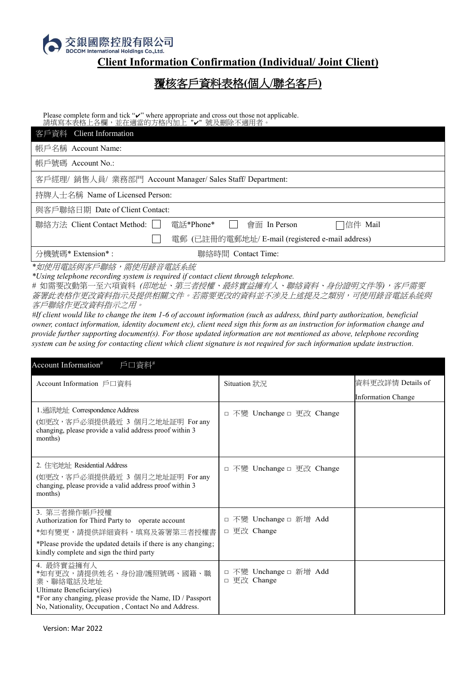

## **Client Information Confirmation (Individual/ Joint Client)**

## 覆核客戶資料表格**(**個人**/**聯名客戶**)**

Please complete form and tick "v" where appropriate and cross out those not applicable. 請填寫本表格上各欄,並在適當的方格內加上 "✔" 號及刪除不適用者。

| 客戶資料 Client Information                                                                    |  |  |  |  |
|--------------------------------------------------------------------------------------------|--|--|--|--|
| 帳戶名稱 Account Name:                                                                         |  |  |  |  |
| 帳戶號碼 Account No.:                                                                          |  |  |  |  |
| 客戶經理/ 銷售人員/ 業務部門 Account Manager/ Sales Staff/ Department:                                 |  |  |  |  |
| 持牌人士名稱 Name of Licensed Person:                                                            |  |  |  |  |
| 與客戶聯絡日期 Date of Client Contact:                                                            |  |  |  |  |
| 電話*Phone*<br>  聯絡方法 Client Contact Method:    <br>□信件 Mail<br>會面 In Person<br>$\mathbf{1}$ |  |  |  |  |
| 電郵 (已註冊的電郵地址/ E-mail (registered e-mail address)                                           |  |  |  |  |
| 分機號碼* Extension* :<br>  聯絡時間 Contact Time:                                                 |  |  |  |  |

*\**如使用電話與客戶聯絡,需使用錄音電話系統

*\*Using telephone recording system is required if contact client through telephone.*

*#* 如需要改動第一至六項資料 *(*即地址、第三者授權、最終實益擁有人、聯絡資料、身份證明文件等*)*,客戶需要 簽署此表格作更改資料指示及提供相關文件。若需要更改的資料並不涉及上述提及之類別,可使用錄音電話系統與 客戶聯絡作更改資料指示之用。

*#If client would like to change the item 1-6 of account information (such as address, third party authorization, beneficial owner, contact information, identity document etc), client need sign this form as an instruction for information change and provide further supporting document(s). For those updated information are not mentioned as above, telephone recording system can be using for contacting client which client signature is not required for such information update instruction.*

| Account Information <sup>#</sup><br>戶口資料#                                                                                                                                                              |                                       |                           |  |  |  |
|--------------------------------------------------------------------------------------------------------------------------------------------------------------------------------------------------------|---------------------------------------|---------------------------|--|--|--|
| Account Information 戶口資料                                                                                                                                                                               | Situation 狀況                          | 資料更改詳情 Details of         |  |  |  |
|                                                                                                                                                                                                        |                                       | <b>Information Change</b> |  |  |  |
| 1. 通訊地址: Correspondence Address<br>(如更改,客戶必須提供最近 3 個月之地址証明 For any<br>changing, please provide a valid address proof within 3<br>months)                                                               | □ 不變 Unchange □ 更改 Change             |                           |  |  |  |
| 2. 住宅地址 Residential Address<br>(如更改,客戶必須提供最近 3 個月之地址証明 Forany<br>changing, please provide a valid address proof within 3<br>months)                                                                    | □ 不變 Unchange □ 更改 Change             |                           |  |  |  |
| 3. 第三者操作帳戶授權<br>Authorization for Third Party to operate account                                                                                                                                       | □ 不變 Unchange □ 新增 Add                |                           |  |  |  |
| *如有變更,請提供詳細資料,填寫及簽署第三者授權書                                                                                                                                                                              | □ 更改 Change                           |                           |  |  |  |
| *Please provide the updated details if there is any changing;<br>kindly complete and sign the third party                                                                                              |                                       |                           |  |  |  |
| 4. 最終實益擁有人<br>*如有更改,請提供姓名、身份證/護照號碼、國籍、職<br>業、聯絡電話及地址<br>Ultimate Beneficiary(ies)<br>*For any changing, please provide the Name, ID / Passport<br>No, Nationality, Occupation, Contact No and Address. | □ 不變 Unchange □ 新增 Add<br>□ 更改 Change |                           |  |  |  |